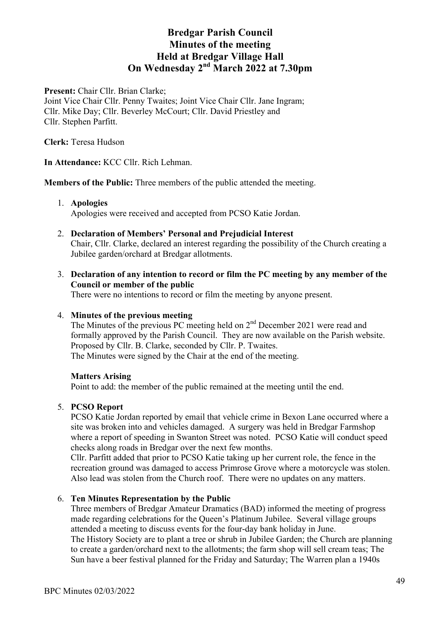Present: Chair Cllr. Brian Clarke;

Joint Vice Chair Cllr. Penny Twaites; Joint Vice Chair Cllr. Jane Ingram; Cllr. Mike Day; Cllr. Beverley McCourt; Cllr. David Priestley and Cllr. Stephen Parfitt.

**Clerk:** Teresa Hudson

**In Attendance:** KCC Cllr. Rich Lehman.

**Members of the Public:** Three members of the public attended the meeting.

#### 1. **Apologies**

Apologies were received and accepted from PCSO Katie Jordan.

- 2. **Declaration of Members' Personal and Prejudicial Interest** Chair, Cllr. Clarke, declared an interest regarding the possibility of the Church creating a Jubilee garden/orchard at Bredgar allotments.
- 3. **Declaration of any intention to record or film the PC meeting by any member of the Council or member of the public**

There were no intentions to record or film the meeting by anyone present.

### 4. **Minutes of the previous meeting**

The Minutes of the previous PC meeting held on 2<sup>nd</sup> December 2021 were read and formally approved by the Parish Council. They are now available on the Parish website. Proposed by Cllr. B. Clarke, seconded by Cllr. P. Twaites. The Minutes were signed by the Chair at the end of the meeting.

#### **Matters Arising**

Point to add: the member of the public remained at the meeting until the end.

## 5. **PCSO Report**

PCSO Katie Jordan reported by email that vehicle crime in Bexon Lane occurred where a site was broken into and vehicles damaged. A surgery was held in Bredgar Farmshop where a report of speeding in Swanton Street was noted. PCSO Katie will conduct speed checks along roads in Bredgar over the next few months.

Cllr. Parfitt added that prior to PCSO Katie taking up her current role, the fence in the recreation ground was damaged to access Primrose Grove where a motorcycle was stolen. Also lead was stolen from the Church roof. There were no updates on any matters.

## 6. **Ten Minutes Representation by the Public**

Three members of Bredgar Amateur Dramatics (BAD) informed the meeting of progress made regarding celebrations for the Queen's Platinum Jubilee. Several village groups attended a meeting to discuss events for the four-day bank holiday in June. The History Society are to plant a tree or shrub in Jubilee Garden; the Church are planning to create a garden/orchard next to the allotments; the farm shop will sell cream teas; The Sun have a beer festival planned for the Friday and Saturday; The Warren plan a 1940s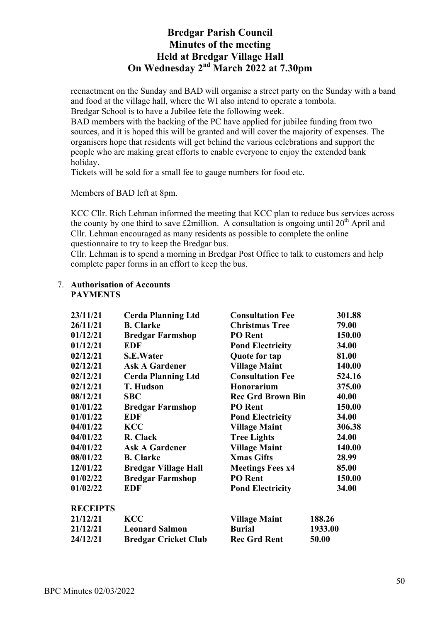reenactment on the Sunday and BAD will organise a street party on the Sunday with a band and food at the village hall, where the WI also intend to operate a tombola. Bredgar School is to have a Jubilee fete the following week.

BAD members with the backing of the PC have applied for jubilee funding from two sources, and it is hoped this will be granted and will cover the majority of expenses. The organisers hope that residents will get behind the various celebrations and support the people who are making great efforts to enable everyone to enjoy the extended bank holiday.

Tickets will be sold for a small fee to gauge numbers for food etc.

Members of BAD left at 8pm.

KCC Cllr. Rich Lehman informed the meeting that KCC plan to reduce bus services across the county by one third to save £2million. A consultation is ongoing until  $20<sup>th</sup>$  April and Cllr. Lehman encouraged as many residents as possible to complete the online questionnaire to try to keep the Bredgar bus.

Cllr. Lehman is to spend a morning in Bredgar Post Office to talk to customers and help complete paper forms in an effort to keep the bus.

| 23/11/21        | <b>Cerda Planning Ltd</b>   | <b>Consultation Fee</b>  | 301.88  |
|-----------------|-----------------------------|--------------------------|---------|
| 26/11/21        | <b>B.</b> Clarke            | <b>Christmas Tree</b>    | 79.00   |
| 01/12/21        | <b>Bredgar Farmshop</b>     | <b>PO</b> Rent           | 150.00  |
| 01/12/21        | <b>EDF</b>                  | <b>Pond Electricity</b>  | 34.00   |
| 02/12/21        | <b>S.E.Water</b>            | Quote for tap            | 81.00   |
| 02/12/21        | <b>Ask A Gardener</b>       | <b>Village Maint</b>     | 140.00  |
| 02/12/21        | <b>Cerda Planning Ltd</b>   | <b>Consultation Fee</b>  | 524.16  |
| 02/12/21        | <b>T. Hudson</b>            | <b>Honorarium</b>        | 375.00  |
| 08/12/21        | <b>SBC</b>                  | <b>Rec Grd Brown Bin</b> | 40.00   |
| 01/01/22        | <b>Bredgar Farmshop</b>     | <b>PO</b> Rent           | 150.00  |
| 01/01/22        | <b>EDF</b>                  | <b>Pond Electricity</b>  | 34.00   |
| 04/01/22        | <b>KCC</b>                  | <b>Village Maint</b>     | 306.38  |
| 04/01/22        | R. Clack                    | <b>Tree Lights</b>       | 24.00   |
| 04/01/22        | <b>Ask A Gardener</b>       | <b>Village Maint</b>     | 140.00  |
| 08/01/22        | <b>B.</b> Clarke            | <b>Xmas Gifts</b>        | 28.99   |
| 12/01/22        | <b>Bredgar Village Hall</b> | <b>Meetings Fees x4</b>  | 85.00   |
| 01/02/22        | <b>Bredgar Farmshop</b>     | <b>PO</b> Rent           | 150.00  |
| 01/02/22        | <b>EDF</b>                  | <b>Pond Electricity</b>  | 34.00   |
| <b>RECEIPTS</b> |                             |                          |         |
| 21/12/21        | <b>KCC</b>                  | <b>Village Maint</b>     | 188.26  |
| 21/12/21        | <b>Leonard Salmon</b>       | <b>Burial</b>            | 1933.00 |
| 24/12/21        | <b>Bredgar Cricket Club</b> | <b>Rec Grd Rent</b>      | 50.00   |

#### 7. **Authorisation of Accounts PAYMENTS**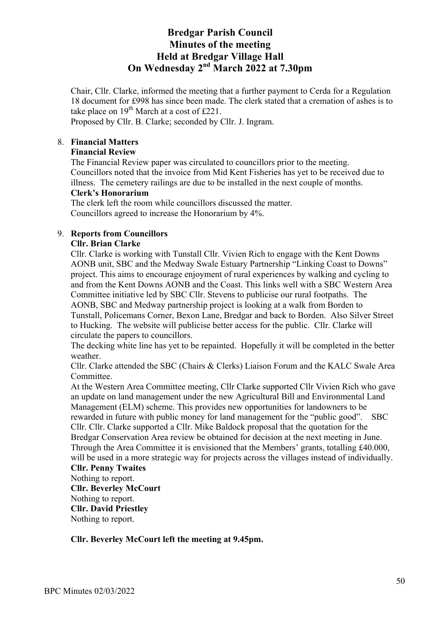Chair, Cllr. Clarke, informed the meeting that a further payment to Cerda for a Regulation 18 document for £998 has since been made. The clerk stated that a cremation of ashes is to take place on  $19^{th}$  March at a cost of £221.

Proposed by Cllr. B. Clarke; seconded by Cllr. J. Ingram.

# 8. **Financial Matters**

# **Financial Review**

The Financial Review paper was circulated to councillors prior to the meeting. Councillors noted that the invoice from Mid Kent Fisheries has yet to be received due to illness. The cemetery railings are due to be installed in the next couple of months.

## **Clerk's Honorarium**

The clerk left the room while councillors discussed the matter. Councillors agreed to increase the Honorarium by 4%.

# 9. **Reports from Councillors**

## **Cllr. Brian Clarke**

Cllr. Clarke is working with Tunstall Cllr. Vivien Rich to engage with the Kent Downs AONB unit, SBC and the Medway Swale Estuary Partnership "Linking Coast to Downs" project. This aims to encourage enjoyment of rural experiences by walking and cycling to and from the Kent Downs AONB and the Coast. This links well with a SBC Western Area Committee initiative led by SBC Cllr. Stevens to publicise our rural footpaths. The AONB, SBC and Medway partnership project is looking at a walk from Borden to Tunstall, Policemans Corner, Bexon Lane, Bredgar and back to Borden. Also Silver Street to Hucking. The website will publicise better access for the public. Cllr. Clarke will circulate the papers to councillors.

The decking white line has yet to be repainted. Hopefully it will be completed in the better weather.

Cllr. Clarke attended the SBC (Chairs & Clerks) Liaison Forum and the KALC Swale Area Committee.

At the Western Area Committee meeting, Cllr Clarke supported Cllr Vivien Rich who gave an update on land management under the new Agricultural Bill and Environmental Land Management (ELM) scheme. This provides new opportunities for landowners to be rewarded in future with public money for land management for the "public good". SBC Cllr. Cllr. Clarke supported a Cllr. Mike Baldock proposal that the quotation for the Bredgar Conservation Area review be obtained for decision at the next meeting in June. Through the Area Committee it is envisioned that the Members' grants, totalling £40.000, will be used in a more strategic way for projects across the villages instead of individually.

# **Cllr. Penny Twaites**

# Nothing to report.

**Cllr. Beverley McCourt** Nothing to report. **Cllr. David Priestley** Nothing to report.

**Cllr. Beverley McCourt left the meeting at 9.45pm.**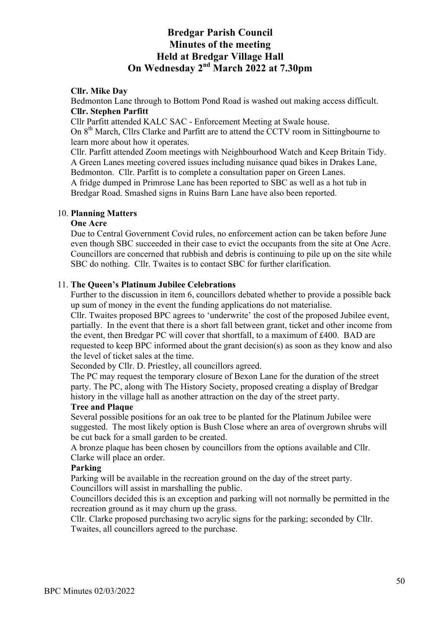### **Cllr. Mike Day**

Bedmonton Lane through to Bottom Pond Road is washed out making access difficult. **Cllr. Stephen Parfitt**

Cllr Parfitt attended KALC SAC - Enforcement Meeting at Swale house. On 8<sup>th</sup> March, Cllrs Clarke and Parfitt are to attend the CCTV room in Sittingbourne to learn more about how it operates.

Cllr. Parfitt attended Zoom meetings with Neighbourhood Watch and Keep Britain Tidy. A Green Lanes meeting covered issues including nuisance quad bikes in Drakes Lane, Bedmonton. Cllr. Parfitt is to complete a consultation paper on Green Lanes. A fridge dumped in Primrose Lane has been reported to SBC as well as a hot tub in Bredgar Road. Smashed signs in Ruins Barn Lane have also been reported.

#### 10. **Planning Matters**

### **One Acre**

Due to Central Government Covid rules, no enforcement action can be taken before June even though SBC succeeded in their case to evict the occupants from the site at One Acre. Councillors are concerned that rubbish and debris is continuing to pile up on the site while SBC do nothing. Cllr. Twaites is to contact SBC for further clarification.

#### 11. **The Queen's Platinum Jubilee Celebrations**

Further to the discussion in item 6, councillors debated whether to provide a possible back up sum of money in the event the funding applications do not materialise.

Cllr. Twaites proposed BPC agrees to 'underwrite' the cost of the proposed Jubilee event, partially. In the event that there is a short fall between grant, ticket and other income from the event, then Bredgar PC will cover that shortfall, to a maximum of £400. BAD are requested to keep BPC informed about the grant decision(s) as soon as they know and also the level of ticket sales at the time.

Seconded by Cllr. D. Priestley, all councillors agreed.

The PC may request the temporary closure of Bexon Lane for the duration of the street party. The PC, along with The History Society, proposed creating a display of Bredgar history in the village hall as another attraction on the day of the street party.

#### **Tree and Plaque**

Several possible positions for an oak tree to be planted for the Platinum Jubilee were suggested. The most likely option is Bush Close where an area of overgrown shrubs will be cut back for a small garden to be created.

A bronze plaque has been chosen by councillors from the options available and Cllr. Clarke will place an order.

### **Parking**

Parking will be available in the recreation ground on the day of the street party. Councillors will assist in marshalling the public.

Councillors decided this is an exception and parking will not normally be permitted in the recreation ground as it may churn up the grass.

Cllr. Clarke proposed purchasing two acrylic signs for the parking; seconded by Cllr. Twaites, all councillors agreed to the purchase.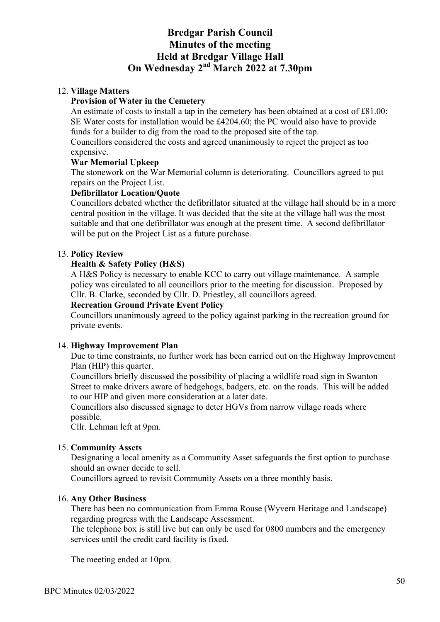## 12. **Village Matters**

### **Provision of Water in the Cemetery**

An estimate of costs to install a tap in the cemetery has been obtained at a cost of £81.00: SE Water costs for installation would be £4204.60; the PC would also have to provide funds for a builder to dig from the road to the proposed site of the tap.

Councillors considered the costs and agreed unanimously to reject the project as too expensive.

#### **War Memorial Upkeep**

The stonework on the War Memorial column is deteriorating. Councillors agreed to put repairs on the Project List.

## **Defibrillator Location/Quote**

Councillors debated whether the defibrillator situated at the village hall should be in a more central position in the village. It was decided that the site at the village hall was the most suitable and that one defibrillator was enough at the present time. A second defibrillator will be put on the Project List as a future purchase.

#### 13. **Policy Review**

#### **Health & Safety Policy (H&S)**

A H&S Policy is necessary to enable KCC to carry out village maintenance. A sample policy was circulated to all councillors prior to the meeting for discussion. Proposed by Cllr. B. Clarke, seconded by Cllr. D. Priestley, all councillors agreed.

#### **Recreation Ground Private Event Policy**

Councillors unanimously agreed to the policy against parking in the recreation ground for private events.

#### 14. **Highway Improvement Plan**

Due to time constraints, no further work has been carried out on the Highway Improvement Plan (HIP) this quarter.

Councillors briefly discussed the possibility of placing a wildlife road sign in Swanton Street to make drivers aware of hedgehogs, badgers, etc. on the roads. This will be added to our HIP and given more consideration at a later date.

Councillors also discussed signage to deter HGVs from narrow village roads where possible.

Cllr. Lehman left at 9pm.

## 15. **Community Assets**

Designating a local amenity as a Community Asset safeguards the first option to purchase should an owner decide to sell.

Councillors agreed to revisit Community Assets on a three monthly basis.

#### 16. **Any Other Business**

There has been no communication from Emma Rouse (Wyvern Heritage and Landscape) regarding progress with the Landscape Assessment.

The telephone box is still live but can only be used for 0800 numbers and the emergency services until the credit card facility is fixed.

The meeting ended at 10pm.